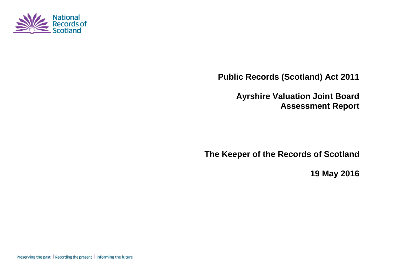

**Public Records (Scotland) Act 2011**

**Ayrshire Valuation Joint Board Assessment Report**

**The Keeper of the Records of Scotland**

**19 May 2016**

Preserving the past | Recording the present | Informing the future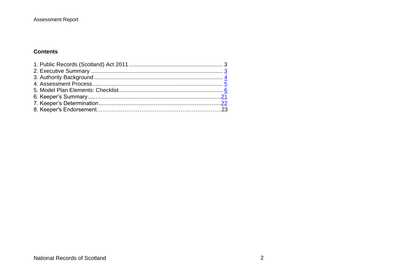## **Assessment Report**

## **Contents**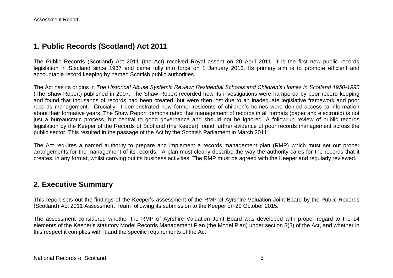## **1. Public Records (Scotland) Act 2011**

The Public Records (Scotland) Act 2011 (the Act) received Royal assent on 20 April 2011. It is the first new public records legislation in Scotland since 1937 and came fully into force on 1 January 2013. Its primary aim is to promote efficient and accountable record keeping by named Scottish public authorities.

The Act has its origins in *The Historical Abuse Systemic Review: Residential Schools and Children's Homes in Scotland 1950-1995* (The Shaw Report) published in 2007. The Shaw Report recorded how its investigations were hampered by poor record keeping and found that thousands of records had been created, but were then lost due to an inadequate legislative framework and poor records management. Crucially, it demonstrated how former residents of children's homes were denied access to information about their formative years. The Shaw Report demonstrated that management of records in all formats (paper and electronic) is not just a bureaucratic process, but central to good governance and should not be ignored. A follow-up review of public records legislation by the Keeper of the Records of Scotland (the Keeper) found further evidence of poor records management across the public sector. This resulted in the passage of the Act by the Scottish Parliament in March 2011.

The Act requires a named authority to prepare and implement a records management plan (RMP) which must set out proper arrangements for the management of its records. A plan must clearly describe the way the authority cares for the records that it creates, in any format, whilst carrying out its business activities. The RMP must be agreed with the Keeper and regularly reviewed.

## **2. Executive Summary**

This report sets out the findings of the Keeper's assessment of the RMP of Ayrshire Valuation Joint Board by the Public Records (Scotland) Act 2011 Assessment Team following its submission to the Keeper on 29 October 2015*.*

The assessment considered whether the RMP of Ayrshire Valuation Joint Board was developed with proper regard to the 14 elements of the Keeper's statutory Model Records Management Plan (the Model Plan) under section 8(3) of the Act, and whether in this respect it complies with it and the specific requirements of the Act.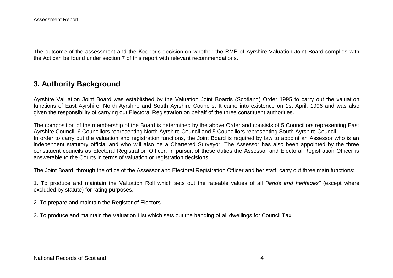The outcome of the assessment and the Keeper's decision on whether the RMP of Ayrshire Valuation Joint Board complies with the Act can be found under section 7 of this report with relevant recommendations.

## **3. Authority Background**

Ayrshire Valuation Joint Board was established by the Valuation Joint Boards (Scotland) Order 1995 to carry out the valuation functions of East Ayrshire, North Ayrshire and South Ayrshire Councils. It came into existence on 1st April, 1996 and was also given the responsibility of carrying out Electoral Registration on behalf of the three constituent authorities.

The composition of the membership of the Board is determined by the above Order and consists of 5 Councillors representing East Ayrshire Council, 6 Councillors representing North Ayrshire Council and 5 Councillors representing South Ayrshire Council. In order to carry out the valuation and registration functions, the Joint Board is required by law to appoint an Assessor who is an independent statutory official and who will also be a Chartered Surveyor. The Assessor has also been appointed by the three constituent councils as Electoral Registration Officer. In pursuit of these duties the Assessor and Electoral Registration Officer is answerable to the Courts in terms of valuation or registration decisions.

The Joint Board, through the office of the Assessor and Electoral Registration Officer and her staff, carry out three main functions:

1. To produce and maintain the Valuation Roll which sets out the rateable values of all *"lands and heritages"* (except where excluded by statute) for rating purposes.

2. To prepare and maintain the Register of Electors.

3. To produce and maintain the Valuation List which sets out the banding of all dwellings for Council Tax.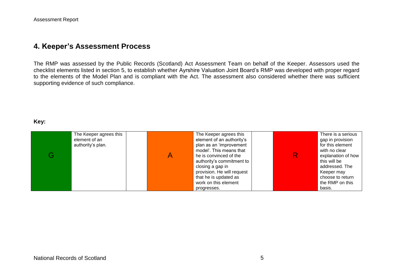## **4. Keeper's Assessment Process**

The RMP was assessed by the Public Records (Scotland) Act Assessment Team on behalf of the Keeper. Assessors used the checklist elements listed in section 5, to establish whether Ayrshire Valuation Joint Board's RMP was developed with proper regard to the elements of the Model Plan and is compliant with the Act. The assessment also considered whether there was sufficient supporting evidence of such compliance.

#### **Key:**

| G | The Keeper agrees this<br>element of an<br>authority's plan. |  | The Keeper agrees this<br>element of an authority's<br>plan as an 'improvement<br>model'. This means that<br>he is convinced of the<br>authority's commitment to<br>closing a gap in<br>provision. He will request<br>that he is updated as<br>work on this element<br>progresses. |  | There is a serious<br>gap in provision<br>for this element<br>with no clear<br>explanation of how<br>this will be<br>addressed. The<br>Keeper may<br>choose to return<br>the RMP on this<br>basis. |
|---|--------------------------------------------------------------|--|------------------------------------------------------------------------------------------------------------------------------------------------------------------------------------------------------------------------------------------------------------------------------------|--|----------------------------------------------------------------------------------------------------------------------------------------------------------------------------------------------------|
|---|--------------------------------------------------------------|--|------------------------------------------------------------------------------------------------------------------------------------------------------------------------------------------------------------------------------------------------------------------------------------|--|----------------------------------------------------------------------------------------------------------------------------------------------------------------------------------------------------|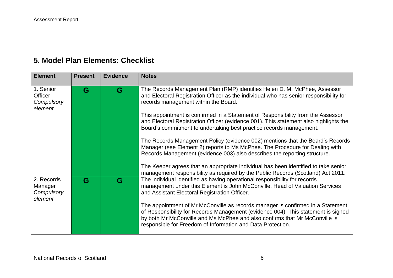# **5. Model Plan Elements: Checklist**

| <b>Element</b>                                       | <b>Present</b> | <b>Evidence</b> | <b>Notes</b>                                                                                                                                                                                                                                                                                                       |
|------------------------------------------------------|----------------|-----------------|--------------------------------------------------------------------------------------------------------------------------------------------------------------------------------------------------------------------------------------------------------------------------------------------------------------------|
| 1. Senior<br><b>Officer</b><br>Compulsory<br>element | G              | G               | The Records Management Plan (RMP) identifies Helen D. M. McPhee, Assessor<br>and Electoral Registration Officer as the individual who has senior responsibility for<br>records management within the Board.                                                                                                        |
|                                                      |                |                 | This appointment is confirmed in a Statement of Responsibility from the Assessor<br>and Electoral Registration Officer (evidence 001). This statement also highlights the<br>Board's commitment to undertaking best practice records management.                                                                   |
|                                                      |                |                 | The Records Management Policy (evidence 002) mentions that the Board's Records<br>Manager (see Element 2) reports to Ms McPhee. The Procedure for Dealing with<br>Records Management (evidence 003) also describes the reporting structure.                                                                        |
|                                                      |                |                 | The Keeper agrees that an appropriate individual has been identified to take senior<br>management responsibility as required by the Public Records (Scotland) Act 2011.                                                                                                                                            |
| 2. Records<br>Manager<br>Compulsory<br>element       | G              | G               | The individual identified as having operational responsibility for records<br>management under this Element is John McConville, Head of Valuation Services<br>and Assistant Electoral Registration Officer.                                                                                                        |
|                                                      |                |                 | The appointment of Mr McConville as records manager is confirmed in a Statement<br>of Responsibility for Records Management (evidence 004). This statement is signed<br>by both Mr McConville and Ms McPhee and also confirms that Mr McConville is<br>responsible for Freedom of Information and Data Protection. |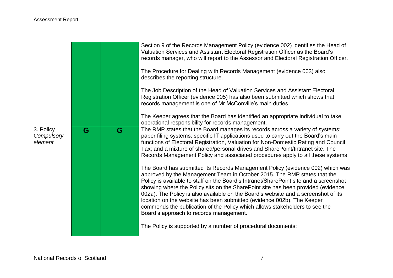|                                    |   |   | Section 9 of the Records Management Policy (evidence 002) identifies the Head of<br>Valuation Services and Assistant Electoral Registration Officer as the Board's<br>records manager, who will report to the Assessor and Electoral Registration Officer.<br>The Procedure for Dealing with Records Management (evidence 003) also<br>describes the reporting structure.<br>The Job Description of the Head of Valuation Services and Assistant Electoral<br>Registration Officer (evidence 005) has also been submitted which shows that<br>records management is one of Mr McConville's main duties.<br>The Keeper agrees that the Board has identified an appropriate individual to take<br>operational responsibility for records management.                                                                                                                                                                                                                                                                                                                                                                                  |
|------------------------------------|---|---|-------------------------------------------------------------------------------------------------------------------------------------------------------------------------------------------------------------------------------------------------------------------------------------------------------------------------------------------------------------------------------------------------------------------------------------------------------------------------------------------------------------------------------------------------------------------------------------------------------------------------------------------------------------------------------------------------------------------------------------------------------------------------------------------------------------------------------------------------------------------------------------------------------------------------------------------------------------------------------------------------------------------------------------------------------------------------------------------------------------------------------------|
| 3. Policy<br>Compulsory<br>element | G | G | The RMP states that the Board manages its records across a variety of systems:<br>paper filing systems; specific IT applications used to carry out the Board's main<br>functions of Electoral Registration, Valuation for Non-Domestic Rating and Council<br>Tax; and a mixture of shared/personal drives and SharePoint/Intranet site. The<br>Records Management Policy and associated procedures apply to all these systems.<br>The Board has submitted its Records Management Policy (evidence 002) which was<br>approved by the Management Team in October 2015. The RMP states that the<br>Policy is available to staff on the Board's Intranet/SharePoint site and a screenshot<br>showing where the Policy sits on the SharePoint site has been provided (evidence<br>002a). The Policy is also available on the Board's website and a screenshot of its<br>location on the website has been submitted (evidence 002b). The Keeper<br>commends the publication of the Policy which allows stakeholders to see the<br>Board's approach to records management.<br>The Policy is supported by a number of procedural documents: |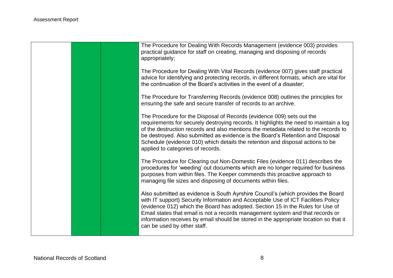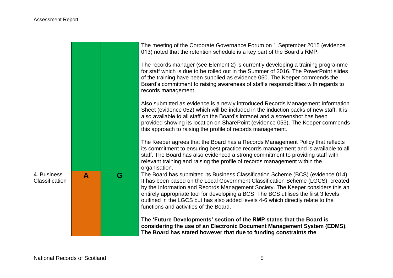|                                      |                  |   | The meeting of the Corporate Governance Forum on 1 September 2015 (evidence<br>013) noted that the retention schedule is a key part of the Board's RMP.<br>The records manager (see Element 2) is currently developing a training programme                                                                                                                                                                                                                                |
|--------------------------------------|------------------|---|----------------------------------------------------------------------------------------------------------------------------------------------------------------------------------------------------------------------------------------------------------------------------------------------------------------------------------------------------------------------------------------------------------------------------------------------------------------------------|
|                                      |                  |   | for staff which is due to be rolled out in the Summer of 2016. The PowerPoint slides<br>of the training have been supplied as evidence 050. The Keeper commends the<br>Board's commitment to raising awareness of staff's responsibilities with regards to<br>records management.                                                                                                                                                                                          |
|                                      |                  |   | Also submitted as evidence is a newly introduced Records Management Information<br>Sheet (evidence 052) which will be included in the induction packs of new staff. It is<br>also available to all staff on the Board's intranet and a screenshot has been<br>provided showing its location on SharePoint (evidence 053). The Keeper commends<br>this approach to raising the profile of records management.                                                               |
|                                      |                  |   | The Keeper agrees that the Board has a Records Management Policy that reflects<br>its commitment to ensuring best practice records management and is available to all<br>staff. The Board has also evidenced a strong commitment to providing staff with<br>relevant training and raising the profile of records management within the<br>organisation.                                                                                                                    |
| 4. Business<br><b>Classification</b> | $\blacktriangle$ | G | The Board has submitted its Business Classification Scheme (BCS) (evidence 014).<br>It has been based on the Local Government Classification Scheme (LGCS), created<br>by the Information and Records Management Society. The Keeper considers this an<br>entirely appropriate tool for developing a BCS. The BCS utilises the first 3 levels<br>outlined in the LGCS but has also added levels 4-6 which directly relate to the<br>functions and activities of the Board. |
|                                      |                  |   | The 'Future Developments' section of the RMP states that the Board is<br>considering the use of an Electronic Document Management System (EDMS).<br>The Board has stated however that due to funding constraints the                                                                                                                                                                                                                                                       |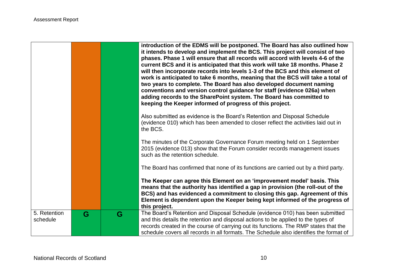|                          |   |   | introduction of the EDMS will be postponed. The Board has also outlined how<br>it intends to develop and implement the BCS. This project will consist of two<br>phases. Phase 1 will ensure that all records will accord with levels 4-6 of the<br>current BCS and it is anticipated that this work will take 18 months. Phase 2<br>will then incorporate records into levels 1-3 of the BCS and this element of<br>work is anticipated to take 6 months, meaning that the BCS will take a total of<br>two years to complete. The Board has also developed document naming<br>conventions and version control guidance for staff (evidence 026a) when<br>adding records to the SharePoint system. The Board has committed to<br>keeping the Keeper informed of progress of this project. |
|--------------------------|---|---|------------------------------------------------------------------------------------------------------------------------------------------------------------------------------------------------------------------------------------------------------------------------------------------------------------------------------------------------------------------------------------------------------------------------------------------------------------------------------------------------------------------------------------------------------------------------------------------------------------------------------------------------------------------------------------------------------------------------------------------------------------------------------------------|
|                          |   |   | Also submitted as evidence is the Board's Retention and Disposal Schedule<br>(evidence 010) which has been amended to closer reflect the activities laid out in<br>the BCS.                                                                                                                                                                                                                                                                                                                                                                                                                                                                                                                                                                                                              |
|                          |   |   | The minutes of the Corporate Governance Forum meeting held on 1 September<br>2015 (evidence 013) show that the Forum consider records management issues<br>such as the retention schedule.                                                                                                                                                                                                                                                                                                                                                                                                                                                                                                                                                                                               |
|                          |   |   | The Board has confirmed that none of its functions are carried out by a third party.                                                                                                                                                                                                                                                                                                                                                                                                                                                                                                                                                                                                                                                                                                     |
|                          |   |   | The Keeper can agree this Element on an 'improvement model' basis. This<br>means that the authority has identified a gap in provision (the roll-out of the<br>BCS) and has evidenced a commitment to closing this gap. Agreement of this<br>Element is dependent upon the Keeper being kept informed of the progress of<br>this project.                                                                                                                                                                                                                                                                                                                                                                                                                                                 |
| 5. Retention<br>schedule | G | G | The Board's Retention and Disposal Schedule (evidence 010) has been submitted<br>and this details the retention and disposal actions to be applied to the types of<br>records created in the course of carrying out its functions. The RMP states that the<br>schedule covers all records in all formats. The Schedule also identifies the format of                                                                                                                                                                                                                                                                                                                                                                                                                                     |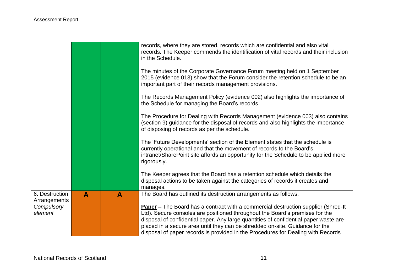|                                |                  |                  | records, where they are stored, records which are confidential and also vital<br>records. The Keeper commends the identification of vital records and their inclusion<br>in the Schedule.                                                                   |
|--------------------------------|------------------|------------------|-------------------------------------------------------------------------------------------------------------------------------------------------------------------------------------------------------------------------------------------------------------|
|                                |                  |                  | The minutes of the Corporate Governance Forum meeting held on 1 September<br>2015 (evidence 013) show that the Forum consider the retention schedule to be an<br>important part of their records management provisions.                                     |
|                                |                  |                  | The Records Management Policy (evidence 002) also highlights the importance of<br>the Schedule for managing the Board's records.                                                                                                                            |
|                                |                  |                  | The Procedure for Dealing with Records Management (evidence 003) also contains<br>(section 9) guidance for the disposal of records and also highlights the importance<br>of disposing of records as per the schedule.                                       |
|                                |                  |                  | The 'Future Developments' section of the Element states that the schedule is<br>currently operational and that the movement of records to the Board's<br>intranet/SharePoint site affords an opportunity for the Schedule to be applied more<br>rigorously. |
|                                |                  |                  | The Keeper agrees that the Board has a retention schedule which details the<br>disposal actions to be taken against the categories of records it creates and<br>manages.                                                                                    |
| 6. Destruction<br>Arrangements | $\blacktriangle$ | $\blacktriangle$ | The Board has outlined its destruction arrangements as follows:                                                                                                                                                                                             |
| Compulsory                     |                  |                  | <b>Paper</b> – The Board has a contract with a commercial destruction supplier (Shred-It                                                                                                                                                                    |
| element                        |                  |                  | Ltd). Secure consoles are positioned throughout the Board's premises for the                                                                                                                                                                                |
|                                |                  |                  | disposal of confidential paper. Any large quantities of confidential paper waste are<br>placed in a secure area until they can be shredded on-site. Guidance for the                                                                                        |
|                                |                  |                  | disposal of paper records is provided in the Procedures for Dealing with Records                                                                                                                                                                            |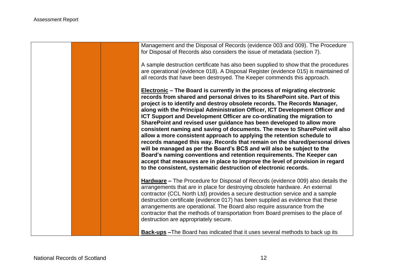Management and the Disposal of Records (evidence 003 and 009). The Procedure for Disposal of Records also considers the issue of metadata (section 7).

A sample destruction certificate has also been supplied to show that the procedures are operational (evidence 018). A Disposal Register (evidence 015) is maintained of all records that have been destroyed. The Keeper commends this approach.

**Electronic – The Board is currently in the process of migrating electronic records from shared and personal drives to its SharePoint site. Part of this project is to identify and destroy obsolete records. The Records Manager, along with the Principal Administration Officer, ICT Development Officer and ICT Support and Development Officer are co-ordinating the migration to SharePoint and revised user guidance has been developed to allow more consistent naming and saving of documents. The move to SharePoint will also allow a more consistent approach to applying the retention schedule to records managed this way. Records that remain on the shared/personal drives will be managed as per the Board's BCS and will also be subject to the Board's naming conventions and retention requirements. The Keeper can accept that measures are in place to improve the level of provision in regard to the consistent, systematic destruction of electronic records.**

**Hardware –** The Procedure for Disposal of Records (evidence 009) also details the arrangements that are in place for destroying obsolete hardware. An external contractor (CCL North Ltd) provides a secure destruction service and a sample destruction certificate (evidence 017) has been supplied as evidence that these arrangements are operational. The Board also require assurance from the contractor that the methods of transportation from Board premises to the place of destruction are appropriately secure.

**Back-ups –**The Board has indicated that it uses several methods to back up its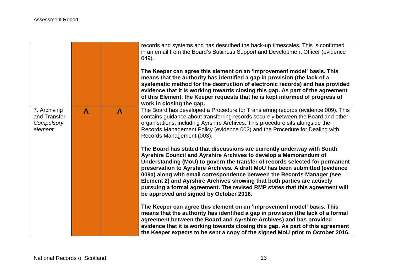|                                                       |   |   | records and systems and has described the back-up timescales. This is confirmed<br>in an email from the Board's Business Support and Development Officer (evidence<br>$(049)$ .<br>The Keeper can agree this element on an 'improvement model' basis. This<br>means that the authority has identified a gap in provision (the lack of a<br>systematic method for the destruction of electronic records) and has provided<br>evidence that it is working towards closing this gap. As part of the agreement<br>of this Element, the Keeper requests that he is kept informed of progress of<br>work in closing the gap. |
|-------------------------------------------------------|---|---|------------------------------------------------------------------------------------------------------------------------------------------------------------------------------------------------------------------------------------------------------------------------------------------------------------------------------------------------------------------------------------------------------------------------------------------------------------------------------------------------------------------------------------------------------------------------------------------------------------------------|
| 7. Archiving<br>and Transfer<br>Compulsory<br>element | A | A | The Board has developed a Procedure for Transferring records (evidence 009). This<br>contains guidance about transferring records securely between the Board and other<br>organisations, including Ayrshire Archives. This procedure sits alongside the<br>Records Management Policy (evidence 002) and the Procedure for Dealing with<br>Records Management (003).                                                                                                                                                                                                                                                    |
|                                                       |   |   | The Board has stated that discussions are currently underway with South<br>Ayrshire Council and Ayrshire Archives to develop a Memorandum of<br>Understanding (MoU) to govern the transfer of records selected for permanent<br>preservation to Ayrshire Archives. A draft MoU has been submitted (evidence<br>009a) along with email correspondence between the Records Manager (see<br>Element 2) and Ayrshire Archives showing that both parties are actively<br>pursuing a formal agreement. The revised RMP states that this agreement will<br>be approved and signed by October 2016.                            |
|                                                       |   |   | The Keeper can agree this element on an 'improvement model' basis. This<br>means that the authority has identified a gap in provision (the lack of a formal<br>agreement between the Board and Ayrshire Archives) and has provided<br>evidence that it is working towards closing this gap. As part of this agreement<br>the Keeper expects to be sent a copy of the signed MoU prior to October 2016.                                                                                                                                                                                                                 |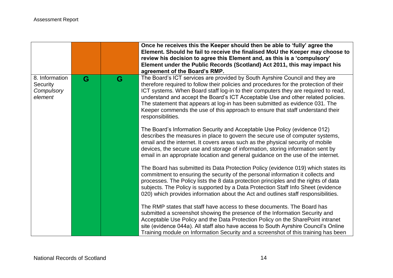|                                                     |   |   | Once he receives this the Keeper should then be able to 'fully' agree the<br>Element. Should he fail to receive the finalised MoU the Keeper may choose to<br>review his decision to agree this Element and, as this is a 'compulsory'<br>Element under the Public Records (Scotland) Act 2011, this may impact his<br>agreement of the Board's RMP.                                                                                                                                                                                    |
|-----------------------------------------------------|---|---|-----------------------------------------------------------------------------------------------------------------------------------------------------------------------------------------------------------------------------------------------------------------------------------------------------------------------------------------------------------------------------------------------------------------------------------------------------------------------------------------------------------------------------------------|
| 8. Information<br>Security<br>Compulsory<br>element | G | G | The Board's ICT services are provided by South Ayrshire Council and they are<br>therefore required to follow their policies and procedures for the protection of their<br>ICT systems. When Board staff log-in to their computers they are required to read,<br>understand and accept the Board's ICT Acceptable Use and other related policies.<br>The statement that appears at log-in has been submitted as evidence 031. The<br>Keeper commends the use of this approach to ensure that staff understand their<br>responsibilities. |
|                                                     |   |   | The Board's Information Security and Acceptable Use Policy (evidence 012)<br>describes the measures in place to govern the secure use of computer systems,<br>email and the internet. It covers areas such as the physical security of mobile<br>devices, the secure use and storage of information, storing information sent by<br>email in an appropriate location and general guidance on the use of the internet.                                                                                                                   |
|                                                     |   |   | The Board has submitted its Data Protection Policy (evidence 019) which states its<br>commitment to ensuring the security of the personal information it collects and<br>processes. The Policy lists the 8 data protection principles and the rights of data<br>subjects. The Policy is supported by a Data Protection Staff Info Sheet (evidence<br>020) which provides information about the Act and outlines staff responsibilities.                                                                                                 |
|                                                     |   |   | The RMP states that staff have access to these documents. The Board has<br>submitted a screenshot showing the presence of the Information Security and<br>Acceptable Use Policy and the Data Protection Policy on the SharePoint intranet<br>site (evidence 044a). All staff also have access to South Ayrshire Council's Online<br>Training module on Information Security and a screenshot of this training has been                                                                                                                  |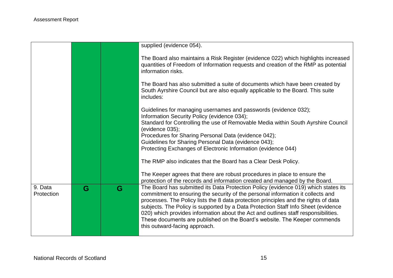|            |   |   | supplied (evidence 054).                                                                                                                                                                            |
|------------|---|---|-----------------------------------------------------------------------------------------------------------------------------------------------------------------------------------------------------|
|            |   |   | The Board also maintains a Risk Register (evidence 022) which highlights increased<br>quantities of Freedom of Information requests and creation of the RMP as potential<br>information risks.      |
|            |   |   | The Board has also submitted a suite of documents which have been created by<br>South Ayrshire Council but are also equally applicable to the Board. This suite<br>includes:                        |
|            |   |   | Guidelines for managing usernames and passwords (evidence 032);<br>Information Security Policy (evidence 034);<br>Standard for Controlling the use of Removable Media within South Ayrshire Council |
|            |   |   | (evidence 035);                                                                                                                                                                                     |
|            |   |   | Procedures for Sharing Personal Data (evidence 042);                                                                                                                                                |
|            |   |   | Guidelines for Sharing Personal Data (evidence 043);                                                                                                                                                |
|            |   |   | Protecting Exchanges of Electronic Information (evidence 044)                                                                                                                                       |
|            |   |   | The RMP also indicates that the Board has a Clear Desk Policy.                                                                                                                                      |
|            |   |   | The Keeper agrees that there are robust procedures in place to ensure the                                                                                                                           |
|            |   |   | protection of the records and information created and managed by the Board.                                                                                                                         |
| 9. Data    | G | G | The Board has submitted its Data Protection Policy (evidence 019) which states its                                                                                                                  |
| Protection |   |   | commitment to ensuring the security of the personal information it collects and                                                                                                                     |
|            |   |   | processes. The Policy lists the 8 data protection principles and the rights of data                                                                                                                 |
|            |   |   | subjects. The Policy is supported by a Data Protection Staff Info Sheet (evidence<br>020) which provides information about the Act and outlines staff responsibilities.                             |
|            |   |   | These documents are published on the Board's website. The Keeper commends                                                                                                                           |
|            |   |   | this outward-facing approach.                                                                                                                                                                       |
|            |   |   |                                                                                                                                                                                                     |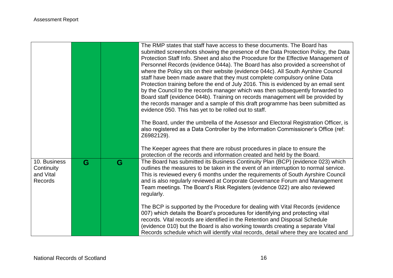|                                                           |   |   | The RMP states that staff have access to these documents. The Board has<br>submitted screenshots showing the presence of the Data Protection Policy, the Data<br>Protection Staff Info. Sheet and also the Procedure for the Effective Management of<br>Personnel Records (evidence 044a). The Board has also provided a screenshot of<br>where the Policy sits on their website (evidence 044c). All South Ayrshire Council<br>staff have been made aware that they must complete compulsory online Data<br>Protection training before the end of July 2016. This is evidenced by an email sent<br>by the Council to the records manager which was then subsequently forwarded to<br>Board staff (evidence 044b). Training on records management will be provided by<br>the records manager and a sample of this draft programme has been submitted as<br>evidence 050. This has yet to be rolled out to staff.<br>The Board, under the umbrella of the Assessor and Electoral Registration Officer, is<br>also registered as a Data Controller by the Information Commissioner's Office (ref:<br>Z6982129). |
|-----------------------------------------------------------|---|---|---------------------------------------------------------------------------------------------------------------------------------------------------------------------------------------------------------------------------------------------------------------------------------------------------------------------------------------------------------------------------------------------------------------------------------------------------------------------------------------------------------------------------------------------------------------------------------------------------------------------------------------------------------------------------------------------------------------------------------------------------------------------------------------------------------------------------------------------------------------------------------------------------------------------------------------------------------------------------------------------------------------------------------------------------------------------------------------------------------------|
|                                                           |   |   | The Keeper agrees that there are robust procedures in place to ensure the<br>protection of the records and information created and held by the Board.                                                                                                                                                                                                                                                                                                                                                                                                                                                                                                                                                                                                                                                                                                                                                                                                                                                                                                                                                         |
| 10. Business<br>Continuity<br>and Vital<br><b>Records</b> | G | G | The Board has submitted its Business Continuity Plan (BCP) (evidence 023) which<br>outlines the measures to be taken in the event of an interruption to normal service.<br>This is reviewed every 6 months under the requirements of South Ayrshire Council<br>and is also regularly reviewed at Corporate Governance Forum and Management<br>Team meetings. The Board's Risk Registers (evidence 022) are also reviewed<br>regularly.                                                                                                                                                                                                                                                                                                                                                                                                                                                                                                                                                                                                                                                                        |
|                                                           |   |   | The BCP is supported by the Procedure for dealing with Vital Records (evidence<br>007) which details the Board's procedures for identifying and protecting vital<br>records. Vital records are identified in the Retention and Disposal Schedule<br>(evidence 010) but the Board is also working towards creating a separate Vital<br>Records schedule which will identify vital records, detail where they are located and                                                                                                                                                                                                                                                                                                                                                                                                                                                                                                                                                                                                                                                                                   |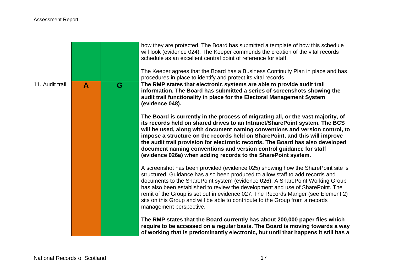|                 |              |   | how they are protected. The Board has submitted a template of how this schedule<br>will look (evidence 024). The Keeper commends the creation of the vital records<br>schedule as an excellent central point of reference for staff.                                                                                                                                                                                                                                                                                                                    |
|-----------------|--------------|---|---------------------------------------------------------------------------------------------------------------------------------------------------------------------------------------------------------------------------------------------------------------------------------------------------------------------------------------------------------------------------------------------------------------------------------------------------------------------------------------------------------------------------------------------------------|
|                 |              |   | The Keeper agrees that the Board has a Business Continuity Plan in place and has<br>procedures in place to identify and protect its vital records.                                                                                                                                                                                                                                                                                                                                                                                                      |
| 11. Audit trail | $\mathbf{A}$ | G | The RMP states that electronic systems are able to provide audit trail<br>information. The Board has submitted a series of screenshots showing the<br>audit trail functionality in place for the Electoral Management System<br>(evidence 048).                                                                                                                                                                                                                                                                                                         |
|                 |              |   | The Board is currently in the process of migrating all, or the vast majority, of<br>its records held on shared drives to an Intranet/SharePoint system. The BCS<br>will be used, along with document naming conventions and version control, to<br>impose a structure on the records held on SharePoint, and this will improve<br>the audit trail provision for electronic records. The Board has also developed<br>document naming conventions and version control guidance for staff<br>(evidence 026a) when adding records to the SharePoint system. |
|                 |              |   | A screenshot has been provided (evidence 025) showing how the SharePoint site is<br>structured. Guidance has also been produced to allow staff to add records and<br>documents to the SharePoint system (evidence 026). A SharePoint Working Group<br>has also been established to review the development and use of SharePoint. The<br>remit of the Group is set out in evidence 027. The Records Manger (see Element 2)<br>sits on this Group and will be able to contribute to the Group from a records<br>management perspective.                   |
|                 |              |   | The RMP states that the Board currently has about 200,000 paper files which<br>require to be accessed on a regular basis. The Board is moving towards a way<br>of working that is predominantly electronic, but until that happens it still has a                                                                                                                                                                                                                                                                                                       |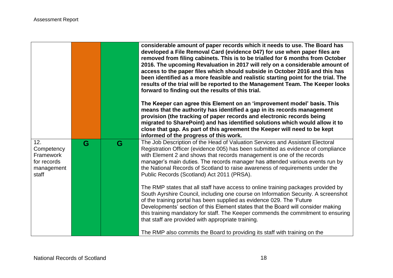|                                                                      |   |   | considerable amount of paper records which it needs to use. The Board has<br>developed a File Removal Card (evidence 047) for use when paper files are<br>removed from filing cabinets. This is to be trialled for 6 months from October<br>2016. The upcoming Revaluation in 2017 will rely on a considerable amount of<br>access to the paper files which should subside in October 2016 and this has<br>been identified as a more feasible and realistic starting point for the trial. The<br>results of the trial will be reported to the Management Team. The Keeper looks<br>forward to finding out the results of this trial.<br>The Keeper can agree this Element on an 'improvement model' basis. This<br>means that the authority has identified a gap in its records management<br>provision (the tracking of paper records and electronic records being<br>migrated to SharePoint) and has identified solutions which would allow it to<br>close that gap. As part of this agreement the Keeper will need to be kept<br>informed of the progress of this work. |
|----------------------------------------------------------------------|---|---|----------------------------------------------------------------------------------------------------------------------------------------------------------------------------------------------------------------------------------------------------------------------------------------------------------------------------------------------------------------------------------------------------------------------------------------------------------------------------------------------------------------------------------------------------------------------------------------------------------------------------------------------------------------------------------------------------------------------------------------------------------------------------------------------------------------------------------------------------------------------------------------------------------------------------------------------------------------------------------------------------------------------------------------------------------------------------|
| 12.<br>Competency<br>Framework<br>for records<br>management<br>staff | G | G | The Job Description of the Head of Valuation Services and Assistant Electoral<br>Registration Officer (evidence 005) has been submitted as evidence of compliance<br>with Element 2 and shows that records management is one of the records<br>manager's main duties. The records manager has attended various events run by<br>the National Records of Scotland to raise awareness of requirements under the<br>Public Records (Scotland) Act 2011 (PRSA).<br>The RMP states that all staff have access to online training packages provided by<br>South Ayrshire Council, including one course on Information Security. A screenshot<br>of the training portal has been supplied as evidence 029. The 'Future<br>Developments' section of this Element states that the Board will consider making<br>this training mandatory for staff. The Keeper commends the commitment to ensuring<br>that staff are provided with appropriate training.<br>The RMP also commits the Board to providing its staff with training on the                                               |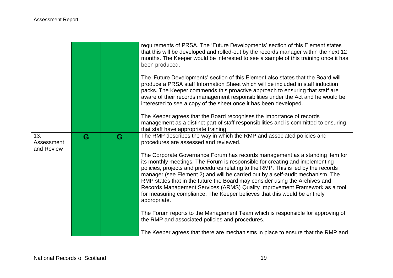|                                 |   |   | requirements of PRSA. The 'Future Developments' section of this Element states<br>that this will be developed and rolled-out by the records manager within the next 12<br>months. The Keeper would be interested to see a sample of this training once it has<br>been produced.<br>The 'Future Developments' section of this Element also states that the Board will<br>produce a PRSA staff Information Sheet which will be included in staff induction<br>packs. The Keeper commends this proactive approach to ensuring that staff are<br>aware of their records management responsibilities under the Act and he would be<br>interested to see a copy of the sheet once it has been developed.<br>The Keeper agrees that the Board recognises the importance of records<br>management as a distinct part of staff responsibilities and is committed to ensuring<br>that staff have appropriate training. |
|---------------------------------|---|---|--------------------------------------------------------------------------------------------------------------------------------------------------------------------------------------------------------------------------------------------------------------------------------------------------------------------------------------------------------------------------------------------------------------------------------------------------------------------------------------------------------------------------------------------------------------------------------------------------------------------------------------------------------------------------------------------------------------------------------------------------------------------------------------------------------------------------------------------------------------------------------------------------------------|
| 13.<br>Assessment<br>and Review | G | G | The RMP describes the way in which the RMP and associated policies and<br>procedures are assessed and reviewed.<br>The Corporate Governance Forum has records management as a standing item for<br>its monthly meetings. The Forum is responsible for creating and implementing<br>policies, projects and procedures relating to the RMP. This is led by the records<br>manager (see Element 2) and will be carried out by a self-audit mechanism. The<br>RMP states that in the future the Board may consider using the Archives and<br>Records Management Services (ARMS) Quality Improvement Framework as a tool<br>for measuring compliance. The Keeper believes that this would be entirely<br>appropriate.<br>The Forum reports to the Management Team which is responsible for approving of<br>the RMP and associated policies and procedures.                                                        |
|                                 |   |   | The Keeper agrees that there are mechanisms in place to ensure that the RMP and                                                                                                                                                                                                                                                                                                                                                                                                                                                                                                                                                                                                                                                                                                                                                                                                                              |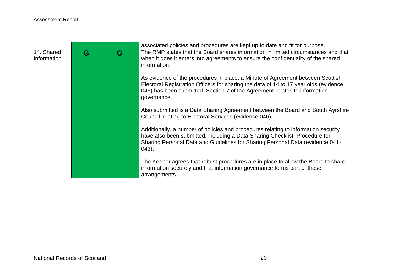|                           |   |   | associated policies and procedures are kept up to date and fit for purpose.                                                                                                                                                                                         |
|---------------------------|---|---|---------------------------------------------------------------------------------------------------------------------------------------------------------------------------------------------------------------------------------------------------------------------|
| 14. Shared<br>Information | G | G | The RMP states that the Board shares information in limited circumstances and that<br>when it does it enters into agreements to ensure the confidentiality of the shared<br>information.                                                                            |
|                           |   |   | As evidence of the procedures in place, a Minute of Agreement between Scottish<br>Electoral Registration Officers for sharing the data of 14 to 17 year olds (evidence<br>045) has been submitted. Section 7 of the Agreement relates to information<br>governance. |
|                           |   |   | Also submitted is a Data Sharing Agreement between the Board and South Ayrshire<br>Council relating to Electoral Services (evidence 046).                                                                                                                           |
|                           |   |   | Additionally, a number of policies and procedures relating to information security<br>have also been submitted, including a Data Sharing Checklist, Procedure for<br>Sharing Personal Data and Guidelines for Sharing Personal Data (evidence 041-<br>$(043)$ .     |
|                           |   |   | The Keeper agrees that robust procedures are in place to allow the Board to share<br>information securely and that information governance forms part of these<br>arrangements.                                                                                      |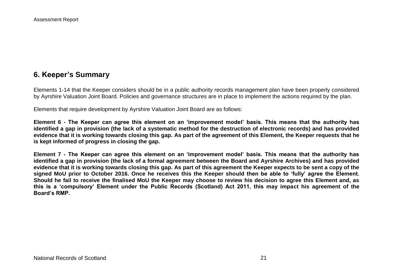# **6. Keeper's Summary**

Elements 1-14 that the Keeper considers should be in a public authority records management plan have been properly considered by Ayrshire Valuation Joint Board. Policies and governance structures are in place to implement the actions required by the plan.

Elements that require development by Ayrshire Valuation Joint Board are as follows:

**Element 6 - The Keeper can agree this element on an 'improvement model' basis. This means that the authority has identified a gap in provision (the lack of a systematic method for the destruction of electronic records) and has provided evidence that it is working towards closing this gap. As part of the agreement of this Element, the Keeper requests that he is kept informed of progress in closing the gap.**

**Element 7 - The Keeper can agree this element on an 'improvement model' basis. This means that the authority has identified a gap in provision (the lack of a formal agreement between the Board and Ayrshire Archives) and has provided evidence that it is working towards closing this gap. As part of this agreement the Keeper expects to be sent a copy of the signed MoU prior to October 2016. Once he receives this the Keeper should then be able to 'fully' agree the Element. Should he fail to receive the finalised MoU the Keeper may choose to review his decision to agree this Element and, as this is a 'compulsory' Element under the Public Records (Scotland) Act 2011, this may impact his agreement of the Board's RMP.**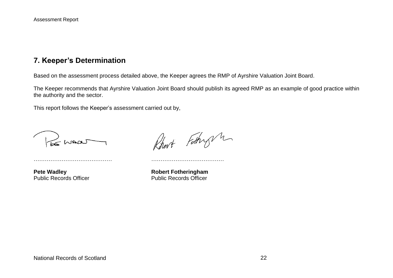## **7. Keeper's Determination**

Based on the assessment process detailed above, the Keeper agrees the RMP of Ayrshire Valuation Joint Board.

The Keeper recommends that Ayrshire Valuation Joint Board should publish its agreed RMP as an example of good practice within the authority and the sector.

This report follows the Keeper's assessment carried out by,

…………………………………… …………………………………

LE MAN

Rhart Fathry m

**Pete Wadley**<br> **Public Records Officer**<br> **Robert Fotheringham**<br> **Robert Fotheringham**<br> **Rublic Records Officer** Public Records Officer